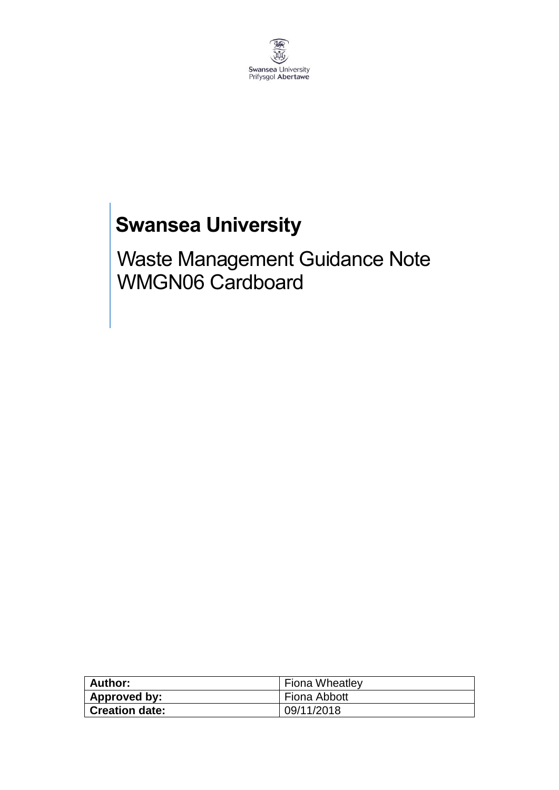

# **Swansea University**

Waste Management Guidance Note WMGN06 Cardboard

| Author:               | Fiona Wheatley |
|-----------------------|----------------|
| Approved by:          | Fiona Abbott   |
| <b>Creation date:</b> | 09/11/2018     |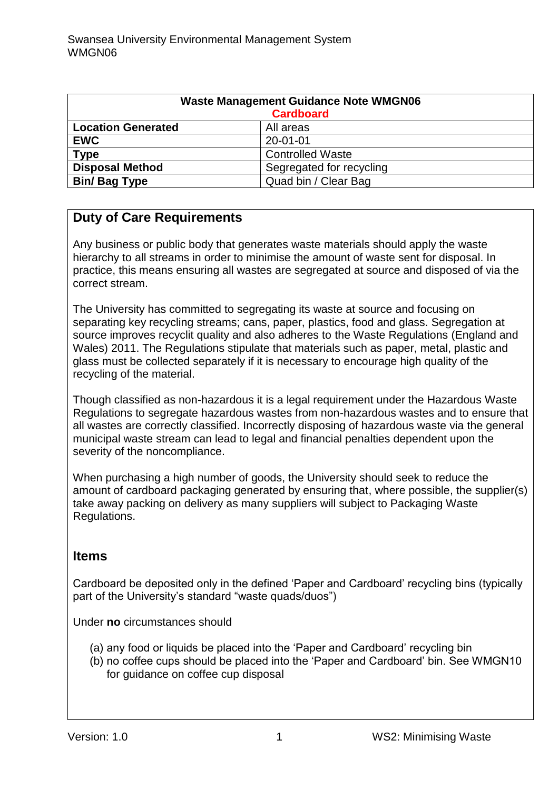| <b>Waste Management Guidance Note WMGN06</b><br><b>Cardboard</b> |                          |
|------------------------------------------------------------------|--------------------------|
| <b>Location Generated</b>                                        | All areas                |
| <b>EWC</b>                                                       | $20 - 01 - 01$           |
| <b>Type</b>                                                      | <b>Controlled Waste</b>  |
| <b>Disposal Method</b>                                           | Segregated for recycling |
| <b>Bin/ Bag Type</b>                                             | Quad bin / Clear Bag     |

# **Duty of Care Requirements**

Any business or public body that generates waste materials should apply the waste hierarchy to all streams in order to minimise the amount of waste sent for disposal. In practice, this means ensuring all wastes are segregated at source and disposed of via the correct stream.

The University has committed to segregating its waste at source and focusing on separating key recycling streams; cans, paper, plastics, food and glass. Segregation at source improves recyclit quality and also adheres to the Waste Regulations (England and Wales) 2011. The Regulations stipulate that materials such as paper, metal, plastic and glass must be collected separately if it is necessary to encourage high quality of the recycling of the material.

Though classified as non-hazardous it is a legal requirement under the Hazardous Waste Regulations to segregate hazardous wastes from non-hazardous wastes and to ensure that all wastes are correctly classified. Incorrectly disposing of hazardous waste via the general municipal waste stream can lead to legal and financial penalties dependent upon the severity of the noncompliance.

When purchasing a high number of goods, the University should seek to reduce the amount of cardboard packaging generated by ensuring that, where possible, the supplier(s) take away packing on delivery as many suppliers will subject to Packaging Waste Regulations.

# **Items**

Cardboard be deposited only in the defined 'Paper and Cardboard' recycling bins (typically part of the University's standard "waste quads/duos")

Under **no** circumstances should

- (a) any food or liquids be placed into the 'Paper and Cardboard' recycling bin
- (b) no coffee cups should be placed into the 'Paper and Cardboard' bin. See WMGN10 for guidance on coffee cup disposal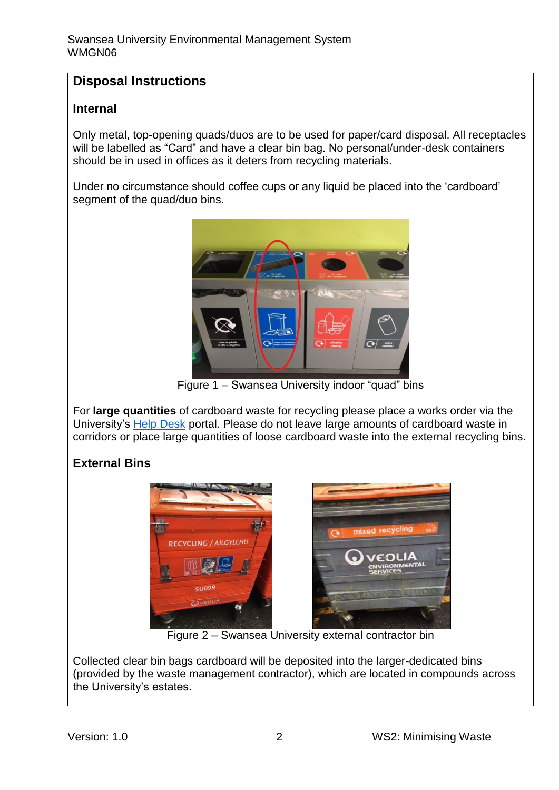# **Disposal Instructions**

### **Internal**

Only metal, top-opening quads/duos are to be used for paper/card disposal. All receptacles will be labelled as "Card" and have a clear bin bag. No personal/under-desk containers should be in used in offices as it deters from recycling materials.

Under no circumstance should coffee cups or any liquid be placed into the 'cardboard' segment of the quad/duo bins.



Figure 1 – Swansea University indoor "quad" bins

For **large quantities** of cardboard waste for recycling please place a works order via the University's [Help Desk](https://quemis.swan.ac.uk/Q2_Live/login) portal. Please do not leave large amounts of cardboard waste in corridors or place large quantities of loose cardboard waste into the external recycling bins.

# **External Bins**



Figure 2 – Swansea University external contractor bin

Collected clear bin bags cardboard will be deposited into the larger-dedicated bins (provided by the waste management contractor), which are located in compounds across the University's estates.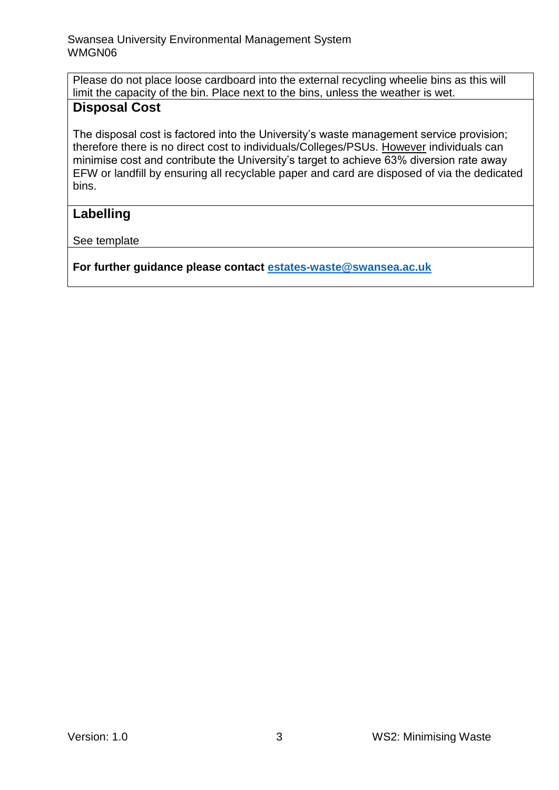Please do not place loose cardboard into the external recycling wheelie bins as this will limit the capacity of the bin. Place next to the bins, unless the weather is wet. **Disposal Cost**

#### The disposal cost is factored into the University's waste management service provision; therefore there is no direct cost to individuals/Colleges/PSUs. However individuals can minimise cost and contribute the University's target to achieve 63% diversion rate away EFW or landfill by ensuring all recyclable paper and card are disposed of via the dedicated bins.

# **Labelling**

See template

**For further guidance please contact [estates-waste@swansea.ac.uk](mailto:estates-waste@swansea.ac.uk)**